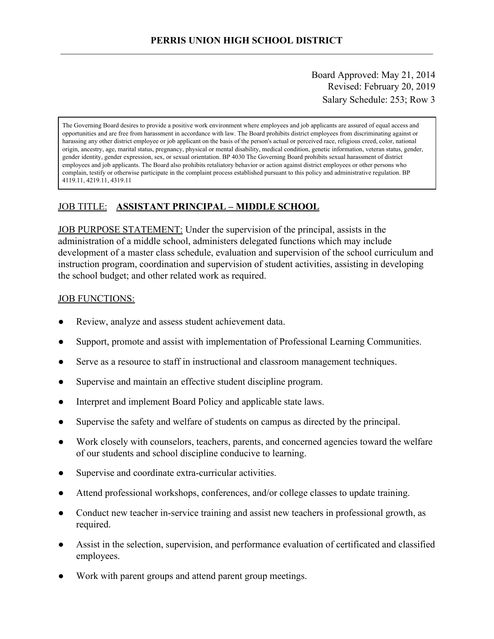Board Approved: May 21, 2014 Revised: February 20, 2019 Salary Schedule: 253; Row 3

The Governing Board desires to provide a positive work environment where employees and job applicants are assured of equal access and opportunities and are free from harassment in accordance with law. The Board prohibits district employees from discriminating against or harassing any other district employee or job applicant on the basis of the person's actual or perceived race, religious creed, color, national origin, ancestry, age, marital status, pregnancy, physical or mental disability, medical condition, genetic information, veteran status, gender, gender identity, gender expression, sex, or sexual orientation. BP 4030 The Governing Board prohibits sexual harassment of district employees and job applicants. The Board also prohibits retaliatory behavior or action against district employees or other persons who complain, testify or otherwise participate in the complaint process established pursuant to this policy and administrative regulation. BP 4119.11, 4219.11, 4319.11

## JOB TITLE: **ASSISTANT PRINCIPAL – MIDDLE SCHOOL**

JOB PURPOSE STATEMENT: Under the supervision of the principal, assists in the administration of a middle school, administers delegated functions which may include development of a master class schedule, evaluation and supervision of the school curriculum and instruction program, coordination and supervision of student activities, assisting in developing the school budget; and other related work as required.

#### JOB FUNCTIONS:

- Review, analyze and assess student achievement data.
- Support, promote and assist with implementation of Professional Learning Communities.
- Serve as a resource to staff in instructional and classroom management techniques.
- Supervise and maintain an effective student discipline program.
- Interpret and implement Board Policy and applicable state laws.
- Supervise the safety and welfare of students on campus as directed by the principal.
- Work closely with counselors, teachers, parents, and concerned agencies toward the welfare of our students and school discipline conducive to learning.
- Supervise and coordinate extra-curricular activities.
- Attend professional workshops, conferences, and/or college classes to update training.
- Conduct new teacher in-service training and assist new teachers in professional growth, as required.
- Assist in the selection, supervision, and performance evaluation of certificated and classified employees.
- Work with parent groups and attend parent group meetings.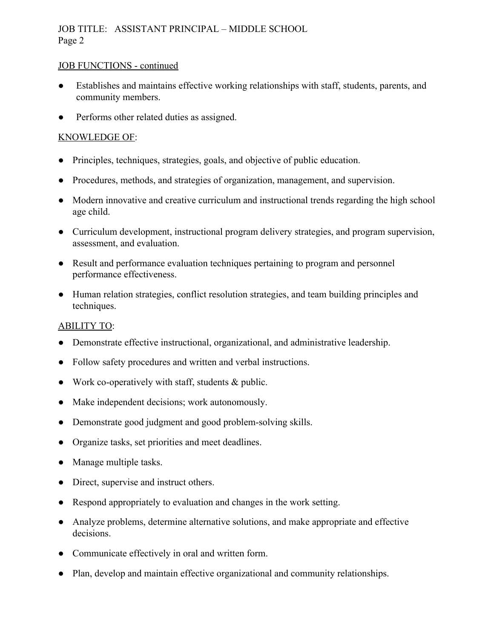## JOB TITLE: ASSISTANT PRINCIPAL – MIDDLE SCHOOL Page 2

## JOB FUNCTIONS - continued

- Establishes and maintains effective working relationships with staff, students, parents, and community members.
- Performs other related duties as assigned.

## KNOWLEDGE OF:

- Principles, techniques, strategies, goals, and objective of public education.
- Procedures, methods, and strategies of organization, management, and supervision.
- Modern innovative and creative curriculum and instructional trends regarding the high school age child.
- Curriculum development, instructional program delivery strategies, and program supervision, assessment, and evaluation.
- Result and performance evaluation techniques pertaining to program and personnel performance effectiveness.
- Human relation strategies, conflict resolution strategies, and team building principles and techniques.

## ABILITY TO:

- Demonstrate effective instructional, organizational, and administrative leadership.
- Follow safety procedures and written and verbal instructions.
- Work co-operatively with staff, students  $&$  public.
- Make independent decisions; work autonomously.
- Demonstrate good judgment and good problem-solving skills.
- Organize tasks, set priorities and meet deadlines.
- Manage multiple tasks.
- Direct, supervise and instruct others.
- Respond appropriately to evaluation and changes in the work setting.
- Analyze problems, determine alternative solutions, and make appropriate and effective decisions.
- Communicate effectively in oral and written form.
- Plan, develop and maintain effective organizational and community relationships.